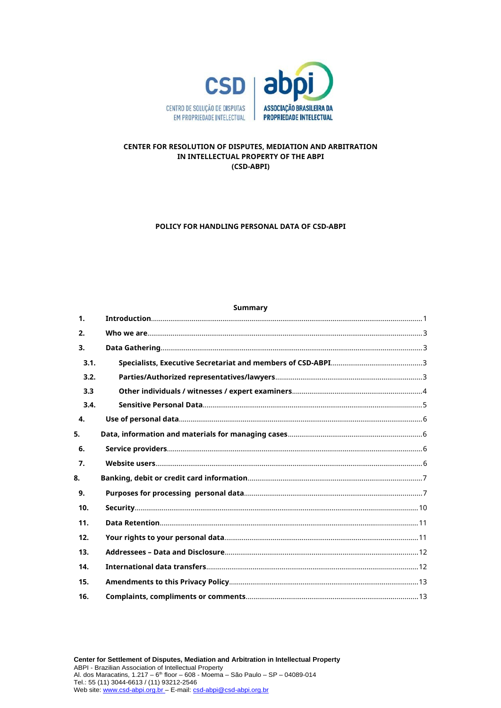

# CENTER FOR RESOLUTION OF DISPUTES, MEDIATION AND ARBITRATION IN INTELLECTUAL PROPERTY OF THE ABPI (CSD-ABPI)

#### POLICY FOR HANDLING PERSONAL DATA OF CSD-ABPI

#### **Summary**

| 1 <sub>1</sub>   |  |
|------------------|--|
| 2.               |  |
| 3.               |  |
| 3.1.             |  |
| 3.2.             |  |
| 3.3              |  |
| 3.4.             |  |
| $\mathbf{4}$     |  |
| 5.               |  |
| 6.               |  |
| $\overline{7}$ . |  |
| 8.               |  |
| 9.               |  |
| 10.              |  |
| 11.              |  |
| 12.              |  |
| 13.              |  |
| 14.              |  |
| 15.              |  |
| 16.              |  |
|                  |  |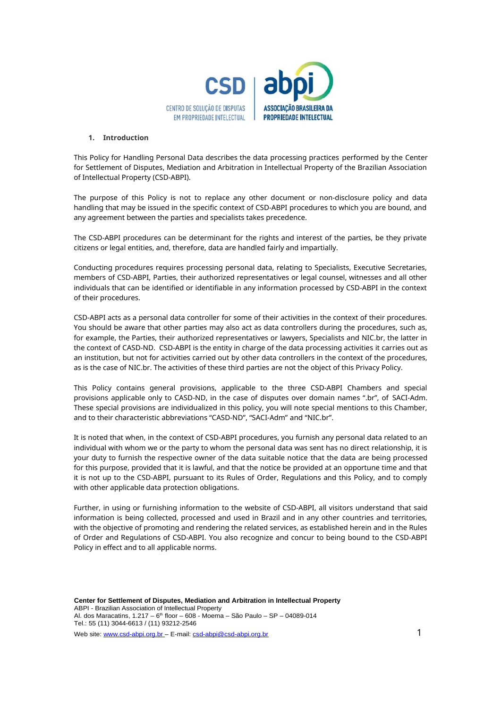

#### **1. Introduction**

This Policy for Handling Personal Data describes the data processing practices performed by the Center for Settlement of Disputes, Mediation and Arbitration in Intellectual Property of the Brazilian Association of Intellectual Property (CSD-ABPI).

The purpose of this Policy is not to replace any other document or non-disclosure policy and data handling that may be issued in the specific context of CSD-ABPI procedures to which you are bound, and any agreement between the parties and specialists takes precedence.

The CSD-ABPI procedures can be determinant for the rights and interest of the parties, be they private citizens or legal entities, and, therefore, data are handled fairly and impartially.

Conducting procedures requires processing personal data, relating to Specialists, Executive Secretaries, members of CSD-ABPI, Parties, their authorized representatives or legal counsel, witnesses and all other individuals that can be identified or identifiable in any information processed by CSD-ABPI in the context of their procedures.

CSD-ABPI acts as a personal data controller for some of their activities in the context of their procedures. You should be aware that other parties may also act as data controllers during the procedures, such as, for example, the Parties, their authorized representatives or lawyers, Specialists and NIC.br, the latter in the context of CASD-ND. CSD-ABPI is the entity in charge of the data processing activities it carries out as an institution, but not for activities carried out by other data controllers in the context of the procedures, as is the case of NIC.br. The activities of these third parties are not the object of this Privacy Policy.

This Policy contains general provisions, applicable to the three CSD-ABPI Chambers and special provisions applicable only to CASD-ND, in the case of disputes over domain names ".br", of SACI-Adm. These special provisions are individualized in this policy, you will note special mentions to this Chamber, and to their characteristic abbreviations "CASD-ND", "SACI-Adm" and "NIC.br".

It is noted that when, in the context of CSD-ABPI procedures, you furnish any personal data related to an individual with whom we or the party to whom the personal data was sent has no direct relationship, it is your duty to furnish the respective owner of the data suitable notice that the data are being processed for this purpose, provided that it is lawful, and that the notice be provided at an opportune time and that it is not up to the CSD-ABPI, pursuant to its Rules of Order, Regulations and this Policy, and to comply with other applicable data protection obligations.

Further, in using or furnishing information to the website of CSD-ABPI, all visitors understand that said information is being collected, processed and used in Brazil and in any other countries and territories, with the objective of promoting and rendering the related services, as established herein and in the Rules of Order and Regulations of CSD-ABPI. You also recognize and concur to being bound to the CSD-ABPI Policy in effect and to all applicable norms.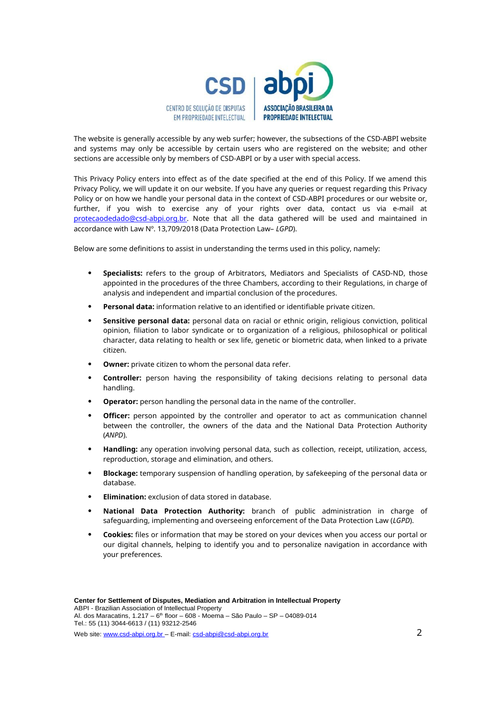

The website is generally accessible by any web surfer; however, the subsections of the CSD-ABPI website and systems may only be accessible by certain users who are registered on the website; and other sections are accessible only by members of CSD-ABPI or by a user with special access.

This Privacy Policy enters into effect as of the date specified at the end of this Policy. If we amend this Privacy Policy, we will update it on our website. If you have any queries or request regarding this Privacy Policy or on how we handle your personal data in the context of CSD-ABPI procedures or our website or, further, if you wish to exercise any of your rights over data, contact us via e-mail at protecaodedado@csd-abpi.org.br. Note that all the data gathered will be used and maintained in accordance with Law Nº. 13,709/2018 (Data Protection Law– *LGPD*).

Below are some definitions to assist in understanding the terms used in this policy, namely:

- **Specialists:** refers to the group of Arbitrators, Mediators and Specialists of CASD-ND, those appointed in the procedures of the three Chambers, according to their Regulations, in charge of analysis and independent and impartial conclusion of the procedures.
- **Personal data:** information relative to an identified or identifiable private citizen.
- **Sensitive personal data:** personal data on racial or ethnic origin, religious conviction, political opinion, filiation to labor syndicate or to organization of a religious, philosophical or political character, data relating to health or sex life, genetic or biometric data, when linked to a private citizen.
- **Owner:** private citizen to whom the personal data refer.
- **Controller:** person having the responsibility of taking decisions relating to personal data handling.
- **Operator:** person handling the personal data in the name of the controller.
- **Officer:** person appointed by the controller and operator to act as communication channel between the controller, the owners of the data and the National Data Protection Authority (*ANPD*).
- **Handling:** any operation involving personal data, such as collection, receipt, utilization, access, reproduction, storage and elimination, and others.
- **Blockage:** temporary suspension of handling operation, by safekeeping of the personal data or database.
- **Elimination:** exclusion of data stored in database.
- **National Data Protection Authority:** branch of public administration in charge of safeguarding, implementing and overseeing enforcement of the Data Protection Law (*LGPD*).
- **Cookies:** files or information that may be stored on your devices when you access our portal or our digital channels, helping to identify you and to personalize navigation in accordance with your preferences.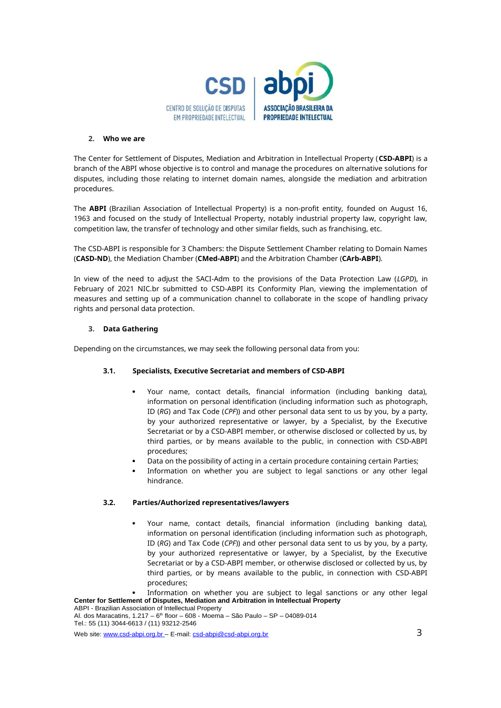

#### **2. Who we are**

The Center for Settlement of Disputes, Mediation and Arbitration in Intellectual Property (**CSD-ABPI**) is a branch of the ABPI whose objective is to control and manage the procedures on alternative solutions for disputes, including those relating to internet domain names, alongside the mediation and arbitration procedures.

The **ABPI** (Brazilian Association of Intellectual Property) is a non-profit entity, founded on August 16, 1963 and focused on the study of Intellectual Property, notably industrial property law, copyright law, competition law, the transfer of technology and other similar fields, such as franchising, etc.

The CSD-ABPI is responsible for 3 Chambers: the Dispute Settlement Chamber relating to Domain Names (**CASD-ND**), the Mediation Chamber (**CMed-ABPI**) and the Arbitration Chamber (**CArb-ABPI**).

In view of the need to adjust the SACI-Adm to the provisions of the Data Protection Law (*LGPD*), in February of 2021 NIC.br submitted to CSD-ABPI its Conformity Plan, viewing the implementation of measures and setting up of a communication channel to collaborate in the scope of handling privacy rights and personal data protection.

## **3. Data Gathering**

Depending on the circumstances, we may seek the following personal data from you:

## **3.1. Specialists, Executive Secretariat and members of CSD-ABPI**

- Your name, contact details, financial information (including banking data), information on personal identification (including information such as photograph, ID (*RG*) and Tax Code (*CPF*)) and other personal data sent to us by you, by a party, by your authorized representative or lawyer, by a Specialist, by the Executive Secretariat or by a CSD-ABPI member, or otherwise disclosed or collected by us, by third parties, or by means available to the public, in connection with CSD-ABPI procedures;
- Data on the possibility of acting in a certain procedure containing certain Parties;
- Information on whether you are subject to legal sanctions or any other legal hindrance.

## **3.2. Parties/Authorized representatives/lawyers**

 Your name, contact details, financial information (including banking data), information on personal identification (including information such as photograph, ID (*RG*) and Tax Code (*CPF*)) and other personal data sent to us by you, by a party, by your authorized representative or lawyer, by a Specialist, by the Executive Secretariat or by a CSD-ABPI member, or otherwise disclosed or collected by us, by third parties, or by means available to the public, in connection with CSD-ABPI procedures;

**Center for Settlement of Disputes, Mediation and Arbitration in Intellectual Property** Information on whether you are subject to legal sanctions or any other legal

Web site: www.csd-abpi.org.br – E-mail: csd-abpi@csd-abpi.org.br 3

ABPI - Brazilian Association of Intellectual Property Al. dos Maracatins,  $1.217 - 6$ <sup>th</sup> floor – 608 - Moema – São Paulo – SP – 04089-014 Tel.: 55 (11) 3044-6613 / (11) 93212-2546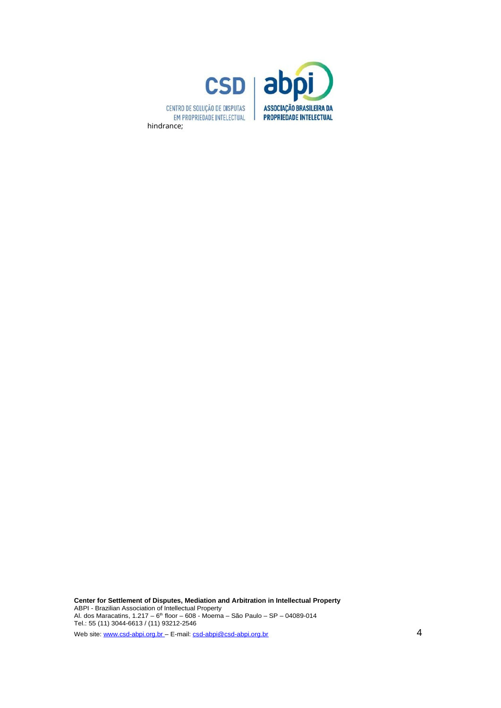

**Center for Settlement of Disputes, Mediation and Arbitration in Intellectual Property** ABPI - Brazilian Association of Intellectual Property Al. dos Maracatins,  $1.217 - 6$ <sup>th</sup> floor – 608 - Moema – São Paulo – SP – 04089-014 Tel.: 55 (11) 3044-6613 / (11) 93212-2546 Web site: www.csd-abpi.org.br – E-mail: csd-abpi@csd-abpi.org.br 4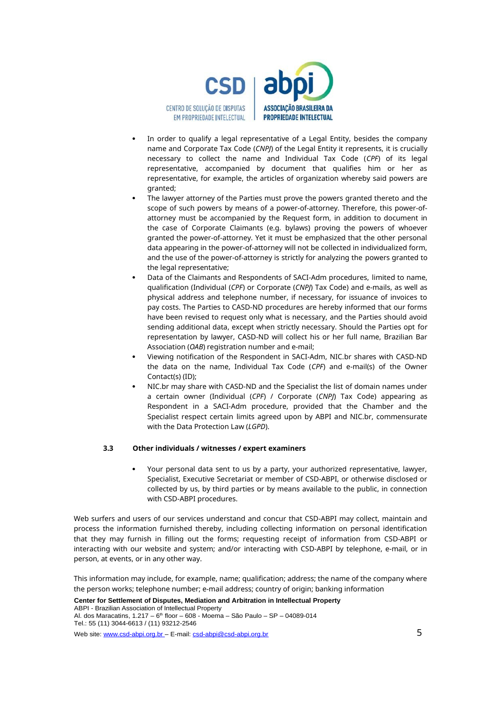

- In order to qualify a legal representative of a Legal Entity, besides the company name and Corporate Tax Code (*CNPJ*) of the Legal Entity it represents, it is crucially necessary to collect the name and Individual Tax Code (*CPF*) of its legal representative, accompanied by document that qualifies him or her as representative, for example, the articles of organization whereby said powers are granted;
- The lawyer attorney of the Parties must prove the powers granted thereto and the scope of such powers by means of a power-of-attorney. Therefore, this power-ofattorney must be accompanied by the Request form, in addition to document in the case of Corporate Claimants (e.g. bylaws) proving the powers of whoever granted the power-of-attorney. Yet it must be emphasized that the other personal data appearing in the power-of-attorney will not be collected in individualized form, and the use of the power-of-attorney is strictly for analyzing the powers granted to the legal representative;
- Data of the Claimants and Respondents of SACI-Adm procedures, limited to name, qualification (Individual (*CPF*) or Corporate (*CNPJ*) Tax Code) and e-mails, as well as physical address and telephone number, if necessary, for issuance of invoices to pay costs. The Parties to CASD-ND procedures are hereby informed that our forms have been revised to request only what is necessary, and the Parties should avoid sending additional data, except when strictly necessary. Should the Parties opt for representation by lawyer, CASD-ND will collect his or her full name, Brazilian Bar Association (*OAB*) registration number and e-mail;
- Viewing notification of the Respondent in SACI-Adm, NIC.br shares with CASD-ND the data on the name, Individual Tax Code (*CPF*) and e-mail(s) of the Owner Contact(s) (ID);
- NIC.br may share with CASD-ND and the Specialist the list of domain names under a certain owner (Individual (*CPF*) / Corporate (*CNPJ*) Tax Code) appearing as Respondent in a SACI-Adm procedure, provided that the Chamber and the Specialist respect certain limits agreed upon by ABPI and NIC.br, commensurate with the Data Protection Law (*LGPD*).

#### **3.3 Other individuals / witnesses / expert examiners**

 Your personal data sent to us by a party, your authorized representative, lawyer, Specialist, Executive Secretariat or member of CSD-ABPI, or otherwise disclosed or collected by us, by third parties or by means available to the public, in connection with CSD-ABPI procedures.

Web surfers and users of our services understand and concur that CSD-ABPI may collect, maintain and process the information furnished thereby, including collecting information on personal identification that they may furnish in filling out the forms; requesting receipt of information from CSD-ABPI or interacting with our website and system; and/or interacting with CSD-ABPI by telephone, e-mail, or in person, at events, or in any other way.

This information may include, for example, name; qualification; address; the name of the company where the person works; telephone number; e-mail address; country of origin; banking information

**Center for Settlement of Disputes, Mediation and Arbitration in Intellectual Property** ABPI - Brazilian Association of Intellectual Property Al. dos Maracatins,  $1.217 - 6$ <sup>th</sup> floor – 608 - Moema – São Paulo – SP – 04089-014 Tel.: 55 (11) 3044-6613 / (11) 93212-2546 Web site: www.csd-abpi.org.br – E-mail: csd-abpi@csd-abpi.org.br 5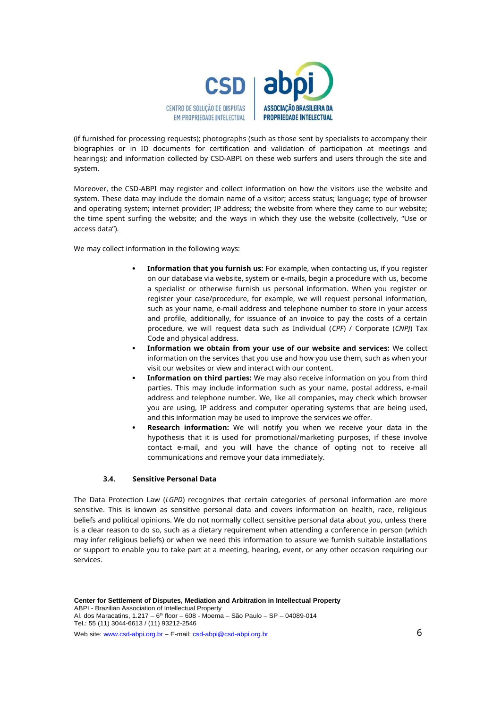

(if furnished for processing requests); photographs (such as those sent by specialists to accompany their biographies or in ID documents for certification and validation of participation at meetings and hearings); and information collected by CSD-ABPI on these web surfers and users through the site and system.

Moreover, the CSD-ABPI may register and collect information on how the visitors use the website and system. These data may include the domain name of a visitor; access status; language; type of browser and operating system; internet provider; IP address; the website from where they came to our website; the time spent surfing the website; and the ways in which they use the website (collectively, "Use or access data").

We may collect information in the following ways:

- **Information that you furnish us:** For example, when contacting us, if you register on our database via website, system or e-mails, begin a procedure with us, become a specialist or otherwise furnish us personal information. When you register or register your case/procedure, for example, we will request personal information, such as your name, e-mail address and telephone number to store in your access and profile, additionally, for issuance of an invoice to pay the costs of a certain procedure, we will request data such as Individual (*CPF*) / Corporate (*CNPJ*) Tax Code and physical address.
- **Information we obtain from your use of our website and services:** We collect information on the services that you use and how you use them, such as when your visit our websites or view and interact with our content.
- **Information on third parties:** We may also receive information on you from third parties. This may include information such as your name, postal address, e-mail address and telephone number. We, like all companies, may check which browser you are using, IP address and computer operating systems that are being used, and this information may be used to improve the services we offer.
- **Research information:** We will notify you when we receive your data in the hypothesis that it is used for promotional/marketing purposes, if these involve contact e-mail, and you will have the chance of opting not to receive all communications and remove your data immediately.

## **3.4. Sensitive Personal Data**

The Data Protection Law (*LGPD*) recognizes that certain categories of personal information are more sensitive. This is known as sensitive personal data and covers information on health, race, religious beliefs and political opinions. We do not normally collect sensitive personal data about you, unless there is a clear reason to do so, such as a dietary requirement when attending a conference in person (which may infer religious beliefs) or when we need this information to assure we furnish suitable installations or support to enable you to take part at a meeting, hearing, event, or any other occasion requiring our services.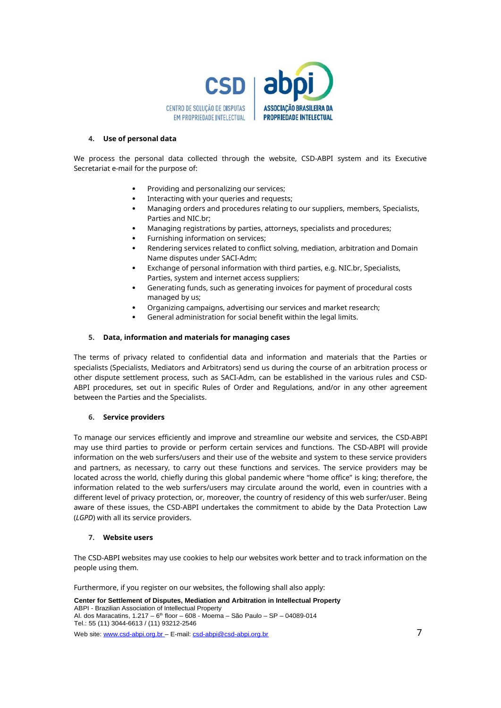

#### **4. Use of personal data**

We process the personal data collected through the website, CSD-ABPI system and its Executive Secretariat e-mail for the purpose of:

- Providing and personalizing our services;
- Interacting with your queries and requests;
- Managing orders and procedures relating to our suppliers, members, Specialists, Parties and NIC.br;
- Managing registrations by parties, attorneys, specialists and procedures;
- Furnishing information on services;
- Rendering services related to conflict solving, mediation, arbitration and Domain Name disputes under SACI-Adm;
- Exchange of personal information with third parties, e.g. NIC.br, Specialists, Parties, system and internet access suppliers;
- Generating funds, such as generating invoices for payment of procedural costs managed by us;
- Organizing campaigns, advertising our services and market research;
- General administration for social benefit within the legal limits.

# **5. Data, information and materials for managing cases**

The terms of privacy related to confidential data and information and materials that the Parties or specialists (Specialists, Mediators and Arbitrators) send us during the course of an arbitration process or other dispute settlement process, such as SACI-Adm, can be established in the various rules and CSD-ABPI procedures, set out in specific Rules of Order and Regulations, and/or in any other agreement between the Parties and the Specialists.

## **6. Service providers**

To manage our services efficiently and improve and streamline our website and services, the CSD-ABPI may use third parties to provide or perform certain services and functions. The CSD-ABPI will provide information on the web surfers/users and their use of the website and system to these service providers and partners, as necessary, to carry out these functions and services. The service providers may be located across the world, chiefly during this global pandemic where "home office" is king; therefore, the information related to the web surfers/users may circulate around the world, even in countries with a different level of privacy protection, or, moreover, the country of residency of this web surfer/user. Being aware of these issues, the CSD-ABPI undertakes the commitment to abide by the Data Protection Law (*LGPD*) with all its service providers.

## **7. Website users**

The CSD-ABPI websites may use cookies to help our websites work better and to track information on the people using them.

Furthermore, if you register on our websites, the following shall also apply:

**Center for Settlement of Disputes, Mediation and Arbitration in Intellectual Property** ABPI - Brazilian Association of Intellectual Property Al. dos Maracatins,  $1.217 - 6$ <sup>th</sup> floor – 608 - Moema – São Paulo – SP – 04089-014 Tel.: 55 (11) 3044-6613 / (11) 93212-2546 Web site: www.csd-abpi.org.br – E-mail: csd-abpi@csd-abpi.org.br 7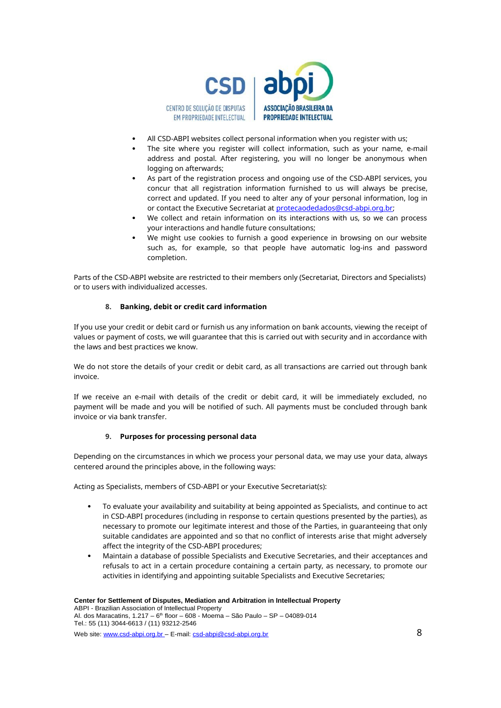

- All CSD-ABPI websites collect personal information when you register with us;
- The site where you register will collect information, such as your name, e-mail address and postal. After registering, you will no longer be anonymous when logging on afterwards;
- As part of the registration process and ongoing use of the CSD-ABPI services, you concur that all registration information furnished to us will always be precise, correct and updated. If you need to alter any of your personal information, log in or contact the Executive Secretariat at protecaodedados@csd-abpi.org.br;
- We collect and retain information on its interactions with us, so we can process your interactions and handle future consultations;
- We might use cookies to furnish a good experience in browsing on our website such as, for example, so that people have automatic log-ins and password completion.

Parts of the CSD-ABPI website are restricted to their members only (Secretariat, Directors and Specialists) or to users with individualized accesses.

## **8. Banking, debit or credit card information**

If you use your credit or debit card or furnish us any information on bank accounts, viewing the receipt of values or payment of costs, we will guarantee that this is carried out with security and in accordance with the laws and best practices we know.

We do not store the details of your credit or debit card, as all transactions are carried out through bank invoice.

If we receive an e-mail with details of the credit or debit card, it will be immediately excluded, no payment will be made and you will be notified of such. All payments must be concluded through bank invoice or via bank transfer.

## **9. Purposes for processing personal data**

Depending on the circumstances in which we process your personal data, we may use your data, always centered around the principles above, in the following ways:

Acting as Specialists, members of CSD-ABPI or your Executive Secretariat(s):

- To evaluate your availability and suitability at being appointed as Specialists, and continue to act in CSD-ABPI procedures (including in response to certain questions presented by the parties), as necessary to promote our legitimate interest and those of the Parties, in guaranteeing that only suitable candidates are appointed and so that no conflict of interests arise that might adversely affect the integrity of the CSD-ABPI procedures;
- Maintain a database of possible Specialists and Executive Secretaries, and their acceptances and refusals to act in a certain procedure containing a certain party, as necessary, to promote our activities in identifying and appointing suitable Specialists and Executive Secretaries;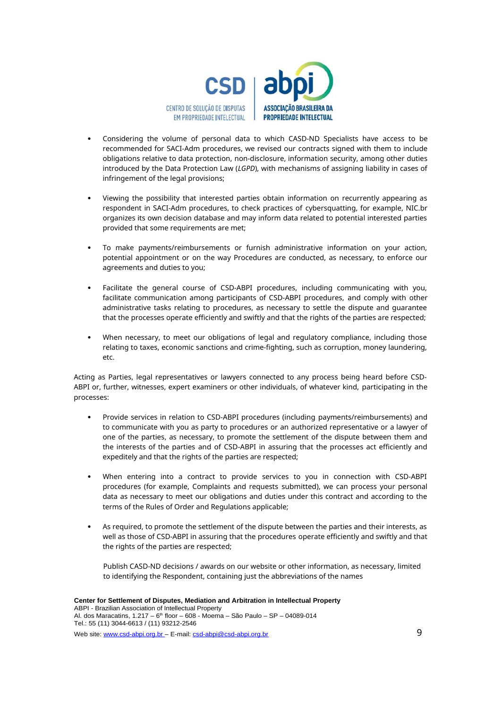

- Considering the volume of personal data to which CASD-ND Specialists have access to be recommended for SACI-Adm procedures, we revised our contracts signed with them to include obligations relative to data protection, non-disclosure, information security, among other duties introduced by the Data Protection Law (*LGPD*), with mechanisms of assigning liability in cases of infringement of the legal provisions;
- Viewing the possibility that interested parties obtain information on recurrently appearing as respondent in SACI-Adm procedures, to check practices of cybersquatting, for example, NIC.br organizes its own decision database and may inform data related to potential interested parties provided that some requirements are met;
- To make payments/reimbursements or furnish administrative information on your action, potential appointment or on the way Procedures are conducted, as necessary, to enforce our agreements and duties to you;
- Facilitate the general course of CSD-ABPI procedures, including communicating with you, facilitate communication among participants of CSD-ABPI procedures, and comply with other administrative tasks relating to procedures, as necessary to settle the dispute and guarantee that the processes operate efficiently and swiftly and that the rights of the parties are respected;
- When necessary, to meet our obligations of legal and regulatory compliance, including those relating to taxes, economic sanctions and crime-fighting, such as corruption, money laundering, etc.

Acting as Parties, legal representatives or lawyers connected to any process being heard before CSD-ABPI or, further, witnesses, expert examiners or other individuals, of whatever kind, participating in the processes:

- Provide services in relation to CSD-ABPI procedures (including payments/reimbursements) and to communicate with you as party to procedures or an authorized representative or a lawyer of one of the parties, as necessary, to promote the settlement of the dispute between them and the interests of the parties and of CSD-ABPI in assuring that the processes act efficiently and expeditely and that the rights of the parties are respected;
- When entering into a contract to provide services to you in connection with CSD-ABPI procedures (for example, Complaints and requests submitted), we can process your personal data as necessary to meet our obligations and duties under this contract and according to the terms of the Rules of Order and Regulations applicable;
- As required, to promote the settlement of the dispute between the parties and their interests, as well as those of CSD-ABPI in assuring that the procedures operate efficiently and swiftly and that the rights of the parties are respected;

Publish CASD-ND decisions / awards on our website or other information, as necessary, limited to identifying the Respondent, containing just the abbreviations of the names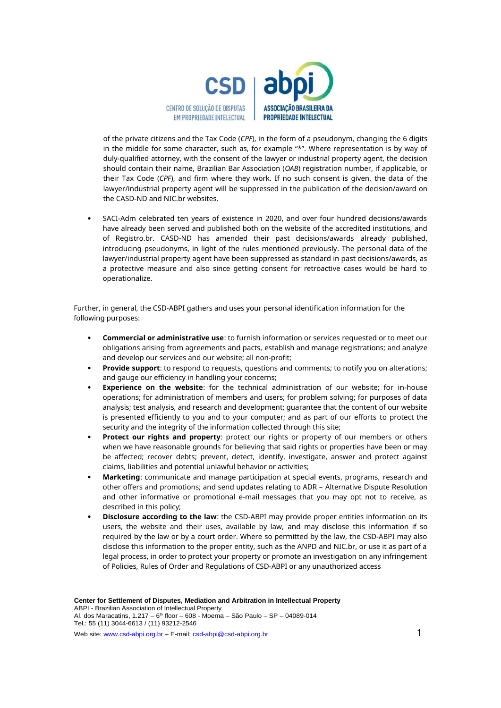

of the private citizens and the Tax Code (*CPF*), in the form of a pseudonym, changing the 6 digits in the middle for some character, such as, for example "\*". Where representation is by way of duly-qualified attorney, with the consent of the lawyer or industrial property agent, the decision should contain their name, Brazilian Bar Association (*OAB*) registration number, if applicable, or their Tax Code (*CPF*), and firm where they work. If no such consent is given, the data of the lawyer/industrial property agent will be suppressed in the publication of the decision/award on the CASD-ND and NIC.br websites.

 SACI-Adm celebrated ten years of existence in 2020, and over four hundred decisions/awards have already been served and published both on the website of the accredited institutions, and of Registro.br. CASD-ND has amended their past decisions/awards already published, introducing pseudonyms, in light of the rules mentioned previously. The personal data of the lawyer/industrial property agent have been suppressed as standard in past decisions/awards, as a protective measure and also since getting consent for retroactive cases would be hard to operationalize.

Further, in general, the CSD-ABPI gathers and uses your personal identification information for the following purposes:

- **Commercial or administrative use**: to furnish information or services requested or to meet our obligations arising from agreements and pacts, establish and manage registrations; and analyze and develop our services and our website; all non-profit;
- **Provide support**: to respond to requests, questions and comments; to notify you on alterations; and gauge our efficiency in handling your concerns;
- **Experience on the website**: for the technical administration of our website; for in-house operations; for administration of members and users; for problem solving; for purposes of data analysis; test analysis, and research and development; guarantee that the content of our website is presented efficiently to you and to your computer; and as part of our efforts to protect the security and the integrity of the information collected through this site;
- **Protect our rights and property**: protect our rights or property of our members or others when we have reasonable grounds for believing that said rights or properties have been or may be affected; recover debts; prevent, detect, identify, investigate, answer and protect against claims, liabilities and potential unlawful behavior or activities;
- **Marketing**: communicate and manage participation at special events, programs, research and other offers and promotions; and send updates relating to ADR – Alternative Dispute Resolution and other informative or promotional e-mail messages that you may opt not to receive, as described in this policy;
- **Disclosure according to the law**: the CSD-ABPI may provide proper entities information on its users, the website and their uses, available by law, and may disclose this information if so required by the law or by a court order. Where so permitted by the law, the CSD-ABPI may also disclose this information to the proper entity, such as the ANPD and NIC.br, or use it as part of a legal process, in order to protect your property or promote an investigation on any infringement of Policies, Rules of Order and Regulations of CSD-ABPI or any unauthorized access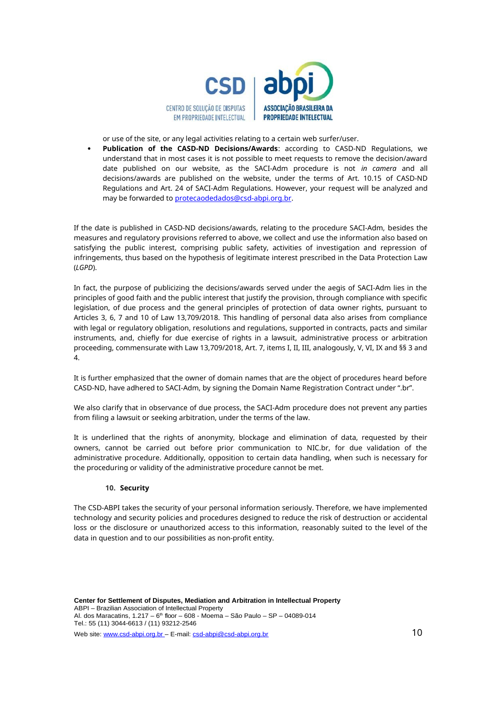

or use of the site, or any legal activities relating to a certain web surfer/user.

 **Publication of the CASD-ND Decisions/Awards**: according to CASD-ND Regulations, we understand that in most cases it is not possible to meet requests to remove the decision/award date published on our website, as the SACI-Adm procedure is not *in camera* and all decisions/awards are published on the website, under the terms of Art. 10.15 of CASD-ND Regulations and Art. 24 of SACI-Adm Regulations. However, your request will be analyzed and may be forwarded to protecaodedados@csd-abpi.org.br.

If the date is published in CASD-ND decisions/awards, relating to the procedure SACI-Adm, besides the measures and regulatory provisions referred to above, we collect and use the information also based on satisfying the public interest, comprising public safety, activities of investigation and repression of infringements, thus based on the hypothesis of legitimate interest prescribed in the Data Protection Law (*LGPD*).

In fact, the purpose of publicizing the decisions/awards served under the aegis of SACI-Adm lies in the principles of good faith and the public interest that justify the provision, through compliance with specific legislation, of due process and the general principles of protection of data owner rights, pursuant to Articles 3, 6, 7 and 10 of Law 13,709/2018. This handling of personal data also arises from compliance with legal or regulatory obligation, resolutions and regulations, supported in contracts, pacts and similar instruments, and, chiefly for due exercise of rights in a lawsuit, administrative process or arbitration proceeding, commensurate with Law 13,709/2018, Art. 7, items I, II, III, analogously, V, VI, IX and §§ 3 and 4.

It is further emphasized that the owner of domain names that are the object of procedures heard before CASD-ND, have adhered to SACI-Adm, by signing the Domain Name Registration Contract under ".br".

We also clarify that in observance of due process, the SACI-Adm procedure does not prevent any parties from filing a lawsuit or seeking arbitration, under the terms of the law.

It is underlined that the rights of anonymity, blockage and elimination of data, requested by their owners, cannot be carried out before prior communication to NIC.br, for due validation of the administrative procedure. Additionally, opposition to certain data handling, when such is necessary for the proceduring or validity of the administrative procedure cannot be met.

#### **10. Security**

The CSD-ABPI takes the security of your personal information seriously. Therefore, we have implemented technology and security policies and procedures designed to reduce the risk of destruction or accidental loss or the disclosure or unauthorized access to this information, reasonably suited to the level of the data in question and to our possibilities as non-profit entity.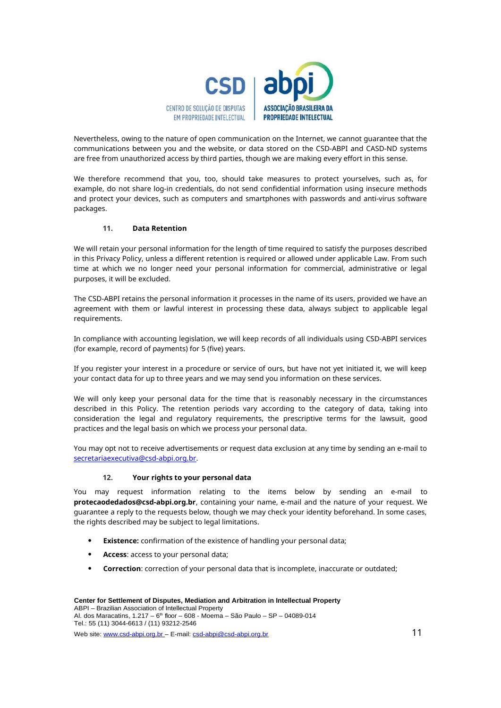

Nevertheless, owing to the nature of open communication on the Internet, we cannot guarantee that the communications between you and the website, or data stored on the CSD-ABPI and CASD-ND systems are free from unauthorized access by third parties, though we are making every effort in this sense.

We therefore recommend that you, too, should take measures to protect yourselves, such as, for example, do not share log-in credentials, do not send confidential information using insecure methods and protect your devices, such as computers and smartphones with passwords and anti-virus software packages.

## **11. Data Retention**

We will retain your personal information for the length of time required to satisfy the purposes described in this Privacy Policy, unless a different retention is required or allowed under applicable Law. From such time at which we no longer need your personal information for commercial, administrative or legal purposes, it will be excluded.

The CSD-ABPI retains the personal information it processes in the name of its users, provided we have an agreement with them or lawful interest in processing these data, always subject to applicable legal requirements.

In compliance with accounting legislation, we will keep records of all individuals using CSD-ABPI services (for example, record of payments) for 5 (five) years.

If you register your interest in a procedure or service of ours, but have not yet initiated it, we will keep your contact data for up to three years and we may send you information on these services.

We will only keep your personal data for the time that is reasonably necessary in the circumstances described in this Policy. The retention periods vary according to the category of data, taking into consideration the legal and regulatory requirements, the prescriptive terms for the lawsuit, good practices and the legal basis on which we process your personal data.

You may opt not to receive advertisements or request data exclusion at any time by sending an e-mail to secretariaexecutiva@csd-abpi.org.br.

#### **12. Your rights to your personal data**

You may request information relating to the items below by sending an e-mail to **protecaodedados@csd-abpi.org.br**, containing your name, e-mail and the nature of your request. We guarantee a reply to the requests below, though we may check your identity beforehand. In some cases, the rights described may be subject to legal limitations.

- **Existence:** confirmation of the existence of handling your personal data;
- **Access**: access to your personal data;
- **Correction**: correction of your personal data that is incomplete, inaccurate or outdated;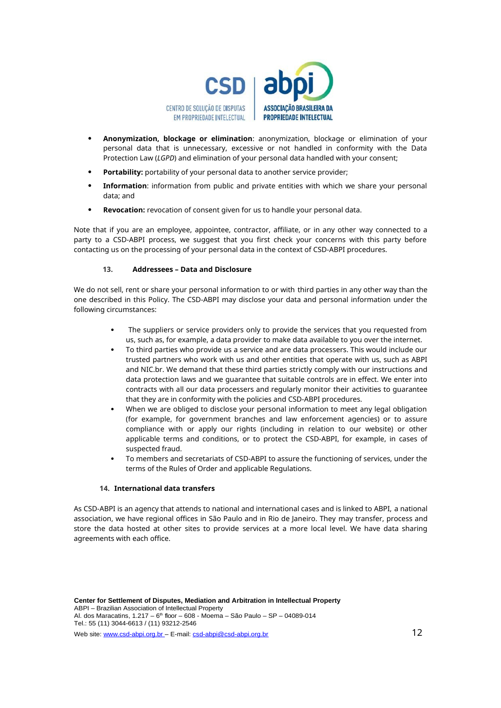

- **Anonymization, blockage or elimination**: anonymization, blockage or elimination of your personal data that is unnecessary, excessive or not handled in conformity with the Data Protection Law (*LGPD*) and elimination of your personal data handled with your consent;
- **Portability:** portability of your personal data to another service provider:
- **Information**: information from public and private entities with which we share your personal data; and
- **Revocation:** revocation of consent given for us to handle your personal data.

Note that if you are an employee, appointee, contractor, affiliate, or in any other way connected to a party to a CSD-ABPI process, we suggest that you first check your concerns with this party before contacting us on the processing of your personal data in the context of CSD-ABPI procedures.

# **13. Addressees – Data and Disclosure**

We do not sell, rent or share your personal information to or with third parties in any other way than the one described in this Policy. The CSD-ABPI may disclose your data and personal information under the following circumstances:

- The suppliers or service providers only to provide the services that you requested from us, such as, for example, a data provider to make data available to you over the internet.
- To third parties who provide us a service and are data processers. This would include our trusted partners who work with us and other entities that operate with us, such as ABPI and NIC.br. We demand that these third parties strictly comply with our instructions and data protection laws and we guarantee that suitable controls are in effect. We enter into contracts with all our data processers and regularly monitor their activities to guarantee that they are in conformity with the policies and CSD-ABPI procedures.
- When we are obliged to disclose your personal information to meet any legal obligation (for example, for government branches and law enforcement agencies) or to assure compliance with or apply our rights (including in relation to our website) or other applicable terms and conditions, or to protect the CSD-ABPI, for example, in cases of suspected fraud.
- To members and secretariats of CSD-ABPI to assure the functioning of services, under the terms of the Rules of Order and applicable Regulations.

## **14. International data transfers**

As CSD-ABPI is an agency that attends to national and international cases and is linked to ABPI, a national association, we have regional offices in São Paulo and in Rio de Janeiro. They may transfer, process and store the data hosted at other sites to provide services at a more local level. We have data sharing agreements with each office.